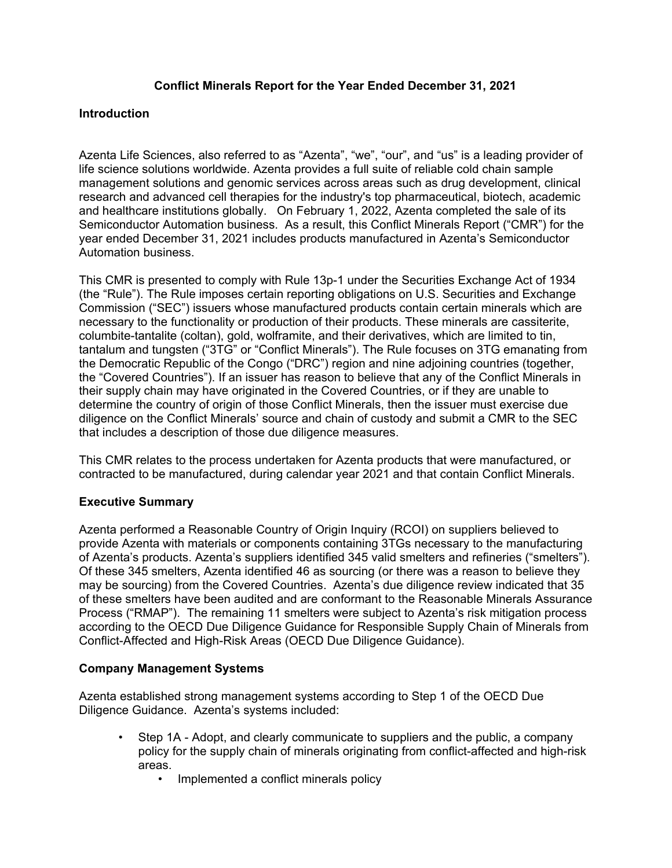# **Conflict Minerals Report for the Year Ended December 31, 2021**

## **Introduction**

Azenta Life Sciences, also referred to as "Azenta", "we", "our", and "us" is a leading provider of life science solutions worldwide. Azenta provides a full suite of reliable cold chain sample management solutions and genomic services across areas such as drug development, clinical research and advanced cell therapies for the industry's top pharmaceutical, biotech, academic and healthcare institutions globally. On February 1, 2022, Azenta completed the sale of its Semiconductor Automation business. As a result, this Conflict Minerals Report ("CMR") for the year ended December 31, 2021 includes products manufactured in Azenta's Semiconductor Automation business.

This CMR is presented to comply with Rule 13p-1 under the Securities Exchange Act of 1934 (the "Rule"). The Rule imposes certain reporting obligations on U.S. Securities and Exchange Commission ("SEC") issuers whose manufactured products contain certain minerals which are necessary to the functionality or production of their products. These minerals are cassiterite, columbite-tantalite (coltan), gold, wolframite, and their derivatives, which are limited to tin, tantalum and tungsten ("3TG" or "Conflict Minerals"). The Rule focuses on 3TG emanating from the Democratic Republic of the Congo ("DRC") region and nine adjoining countries (together, the "Covered Countries"). If an issuer has reason to believe that any of the Conflict Minerals in their supply chain may have originated in the Covered Countries, or if they are unable to determine the country of origin of those Conflict Minerals, then the issuer must exercise due diligence on the Conflict Minerals' source and chain of custody and submit a CMR to the SEC that includes a description of those due diligence measures.

This CMR relates to the process undertaken for Azenta products that were manufactured, or contracted to be manufactured, during calendar year 2021 and that contain Conflict Minerals.

# **Executive Summary**

Azenta performed a Reasonable Country of Origin Inquiry (RCOI) on suppliers believed to provide Azenta with materials or components containing 3TGs necessary to the manufacturing of Azenta's products. Azenta's suppliers identified 345 valid smelters and refineries ("smelters"). Of these 345 smelters, Azenta identified 46 as sourcing (or there was a reason to believe they may be sourcing) from the Covered Countries. Azenta's due diligence review indicated that 35 of these smelters have been audited and are conformant to the Reasonable Minerals Assurance Process ("RMAP"). The remaining 11 smelters were subject to Azenta's risk mitigation process according to the OECD Due Diligence Guidance for Responsible Supply Chain of Minerals from Conflict-Affected and High-Risk Areas (OECD Due Diligence Guidance).

# **Company Management Systems**

Azenta established strong management systems according to Step 1 of the OECD Due Diligence Guidance. Azenta's systems included:

- Step 1A Adopt, and clearly communicate to suppliers and the public, a company policy for the supply chain of minerals originating from conflict-affected and high-risk areas.
	- Implemented a conflict minerals policy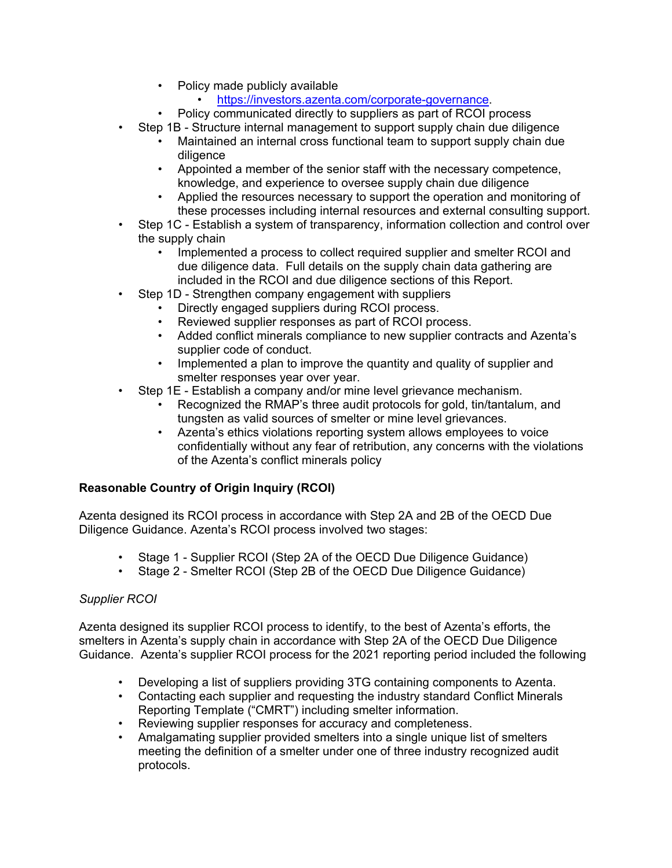- Policy made publicly available
	- [https://investors.azenta.com/corporate-governance.](https://investors.azenta.com/corporate-governance)
- Policy communicated directly to suppliers as part of RCOI process
- Step 1B Structure internal management to support supply chain due diligence
	- Maintained an internal cross functional team to support supply chain due diligence
	- Appointed a member of the senior staff with the necessary competence, knowledge, and experience to oversee supply chain due diligence
	- Applied the resources necessary to support the operation and monitoring of these processes including internal resources and external consulting support.
- Step 1C Establish a system of transparency, information collection and control over the supply chain
	- Implemented a process to collect required supplier and smelter RCOI and due diligence data. Full details on the supply chain data gathering are included in the RCOI and due diligence sections of this Report.
- Step 1D Strengthen company engagement with suppliers
	- Directly engaged suppliers during RCOI process.
	- Reviewed supplier responses as part of RCOI process.
	- Added conflict minerals compliance to new supplier contracts and Azenta's supplier code of conduct.
	- Implemented a plan to improve the quantity and quality of supplier and smelter responses year over year.
- Step 1E Establish a company and/or mine level grievance mechanism.
	- Recognized the RMAP's three audit protocols for gold, tin/tantalum, and tungsten as valid sources of smelter or mine level grievances.
	- Azenta's ethics violations reporting system allows employees to voice confidentially without any fear of retribution, any concerns with the violations of the Azenta's conflict minerals policy

# **Reasonable Country of Origin Inquiry (RCOI)**

Azenta designed its RCOI process in accordance with Step 2A and 2B of the OECD Due Diligence Guidance. Azenta's RCOI process involved two stages:

- Stage 1 Supplier RCOI (Step 2A of the OECD Due Diligence Guidance)
- Stage 2 Smelter RCOI (Step 2B of the OECD Due Diligence Guidance)

# *Supplier RCOI*

Azenta designed its supplier RCOI process to identify, to the best of Azenta's efforts, the smelters in Azenta's supply chain in accordance with Step 2A of the OECD Due Diligence Guidance. Azenta's supplier RCOI process for the 2021 reporting period included the following

- Developing a list of suppliers providing 3TG containing components to Azenta.
- Contacting each supplier and requesting the industry standard Conflict Minerals Reporting Template ("CMRT") including smelter information.
- Reviewing supplier responses for accuracy and completeness.
- Amalgamating supplier provided smelters into a single unique list of smelters meeting the definition of a smelter under one of three industry recognized audit protocols.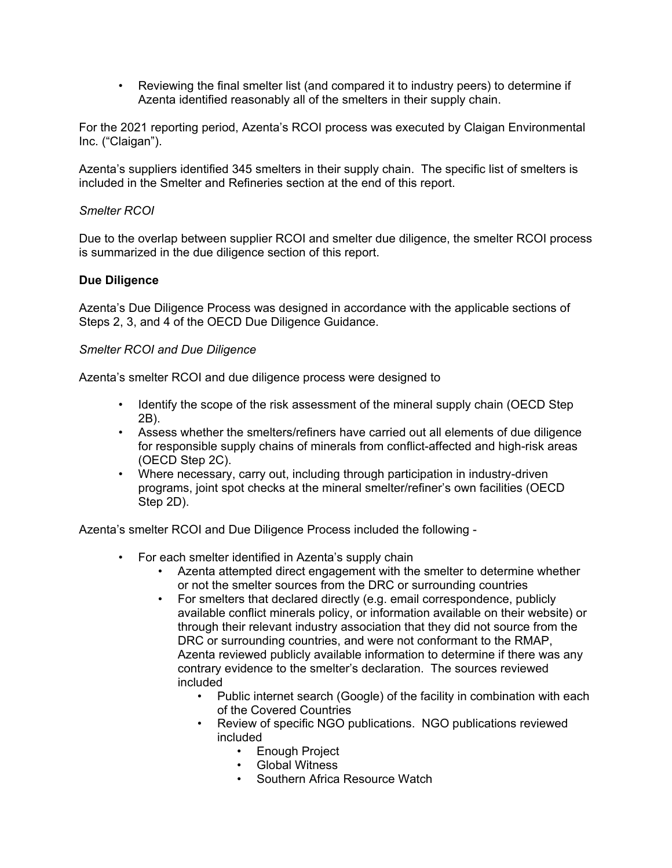• Reviewing the final smelter list (and compared it to industry peers) to determine if Azenta identified reasonably all of the smelters in their supply chain.

For the 2021 reporting period, Azenta's RCOI process was executed by Claigan Environmental Inc. ("Claigan").

Azenta's suppliers identified 345 smelters in their supply chain. The specific list of smelters is included in the Smelter and Refineries section at the end of this report.

# *Smelter RCOI*

Due to the overlap between supplier RCOI and smelter due diligence, the smelter RCOI process is summarized in the due diligence section of this report.

# **Due Diligence**

Azenta's Due Diligence Process was designed in accordance with the applicable sections of Steps 2, 3, and 4 of the OECD Due Diligence Guidance.

## *Smelter RCOI and Due Diligence*

Azenta's smelter RCOI and due diligence process were designed to

- Identify the scope of the risk assessment of the mineral supply chain (OECD Step 2B).
- Assess whether the smelters/refiners have carried out all elements of due diligence for responsible supply chains of minerals from conflict-affected and high-risk areas (OECD Step 2C).
- Where necessary, carry out, including through participation in industry-driven programs, joint spot checks at the mineral smelter/refiner's own facilities (OECD Step 2D).

Azenta's smelter RCOI and Due Diligence Process included the following -

- For each smelter identified in Azenta's supply chain
	- Azenta attempted direct engagement with the smelter to determine whether or not the smelter sources from the DRC or surrounding countries
	- For smelters that declared directly (e.g. email correspondence, publicly available conflict minerals policy, or information available on their website) or through their relevant industry association that they did not source from the DRC or surrounding countries, and were not conformant to the RMAP, Azenta reviewed publicly available information to determine if there was any contrary evidence to the smelter's declaration. The sources reviewed included
		- Public internet search (Google) of the facility in combination with each of the Covered Countries
		- Review of specific NGO publications. NGO publications reviewed included
			- Enough Project
			- Global Witness
			- Southern Africa Resource Watch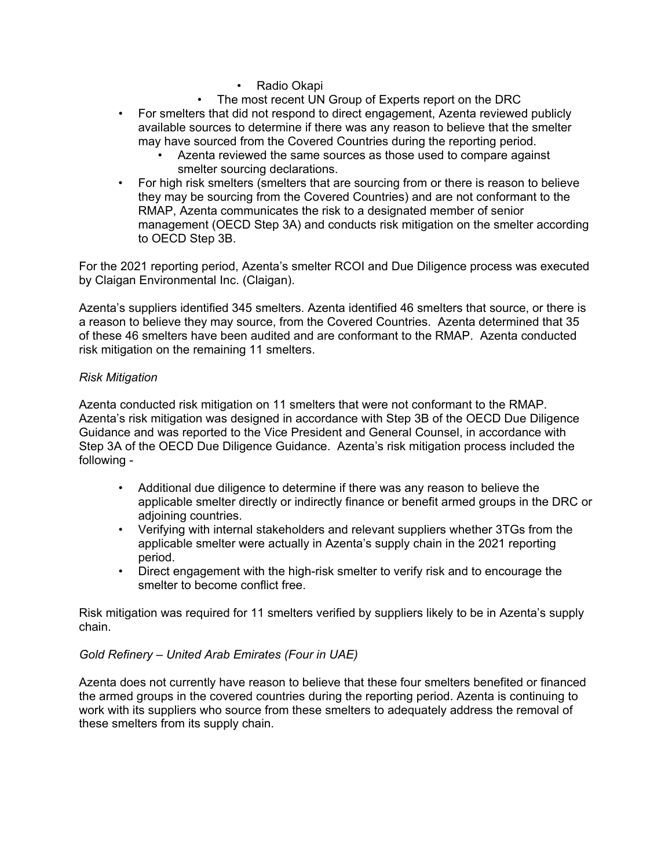- Radio Okapi
- The most recent UN Group of Experts report on the DRC
- For smelters that did not respond to direct engagement, Azenta reviewed publicly available sources to determine if there was any reason to believe that the smelter may have sourced from the Covered Countries during the reporting period.
	- Azenta reviewed the same sources as those used to compare against smelter sourcing declarations.
- For high risk smelters (smelters that are sourcing from or there is reason to believe they may be sourcing from the Covered Countries) and are not conformant to the RMAP, Azenta communicates the risk to a designated member of senior management (OECD Step 3A) and conducts risk mitigation on the smelter according to OECD Step 3B.

For the 2021 reporting period, Azenta's smelter RCOI and Due Diligence process was executed by Claigan Environmental Inc. (Claigan).

Azenta's suppliers identified 345 smelters. Azenta identified 46 smelters that source, or there is a reason to believe they may source, from the Covered Countries. Azenta determined that 35 of these 46 smelters have been audited and are conformant to the RMAP. Azenta conducted risk mitigation on the remaining 11 smelters.

## *Risk Mitigation*

Azenta conducted risk mitigation on 11 smelters that were not conformant to the RMAP. Azenta's risk mitigation was designed in accordance with Step 3B of the OECD Due Diligence Guidance and was reported to the Vice President and General Counsel, in accordance with Step 3A of the OECD Due Diligence Guidance. Azenta's risk mitigation process included the following -

- Additional due diligence to determine if there was any reason to believe the applicable smelter directly or indirectly finance or benefit armed groups in the DRC or adjoining countries.
- Verifying with internal stakeholders and relevant suppliers whether 3TGs from the applicable smelter were actually in Azenta's supply chain in the 2021 reporting period.
- Direct engagement with the high-risk smelter to verify risk and to encourage the smelter to become conflict free.

Risk mitigation was required for 11 smelters verified by suppliers likely to be in Azenta's supply chain.

#### *Gold Refinery – United Arab Emirates (Four in UAE)*

Azenta does not currently have reason to believe that these four smelters benefited or financed the armed groups in the covered countries during the reporting period. Azenta is continuing to work with its suppliers who source from these smelters to adequately address the removal of these smelters from its supply chain.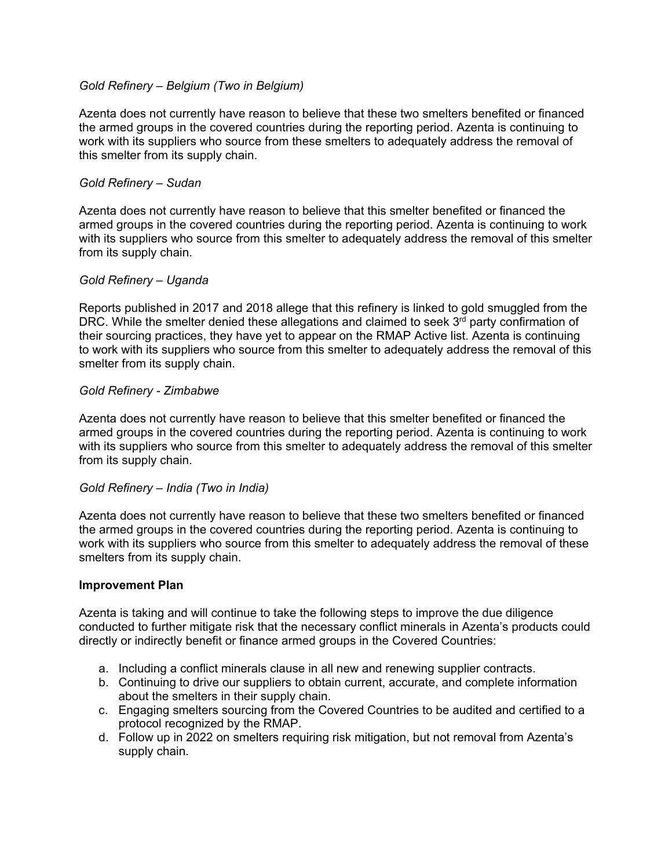## *Gold Refinery – Belgium (Two in Belgium)*

Azenta does not currently have reason to believe that these two smelters benefited or financed the armed groups in the covered countries during the reporting period. Azenta is continuing to work with its suppliers who source from these smelters to adequately address the removal of this smelter from its supply chain.

## *Gold Refinery – Sudan*

Azenta does not currently have reason to believe that this smelter benefited or financed the armed groups in the covered countries during the reporting period. Azenta is continuing to work with its suppliers who source from this smelter to adequately address the removal of this smelter from its supply chain.

#### *Gold Refinery – Uganda*

Reports published in 2017 and 2018 allege that this refinery is linked to gold smuggled from the DRC. While the smelter denied these allegations and claimed to seek  $3<sup>rd</sup>$  party confirmation of their sourcing practices, they have yet to appear on the RMAP Active list. Azenta is continuing to work with its suppliers who source from this smelter to adequately address the removal of this smelter from its supply chain.

## *Gold Refinery - Zimbabwe*

Azenta does not currently have reason to believe that this smelter benefited or financed the armed groups in the covered countries during the reporting period. Azenta is continuing to work with its suppliers who source from this smelter to adequately address the removal of this smelter from its supply chain.

#### *Gold Refinery – India (Two in India)*

Azenta does not currently have reason to believe that these two smelters benefited or financed the armed groups in the covered countries during the reporting period. Azenta is continuing to work with its suppliers who source from this smelter to adequately address the removal of these smelters from its supply chain.

#### **Improvement Plan**

Azenta is taking and will continue to take the following steps to improve the due diligence conducted to further mitigate risk that the necessary conflict minerals in Azenta's products could directly or indirectly benefit or finance armed groups in the Covered Countries:

- a. Including a conflict minerals clause in all new and renewing supplier contracts.
- b. Continuing to drive our suppliers to obtain current, accurate, and complete information about the smelters in their supply chain.
- c. Engaging smelters sourcing from the Covered Countries to be audited and certified to a protocol recognized by the RMAP.
- d. Follow up in 2022 on smelters requiring risk mitigation, but not removal from Azenta's supply chain.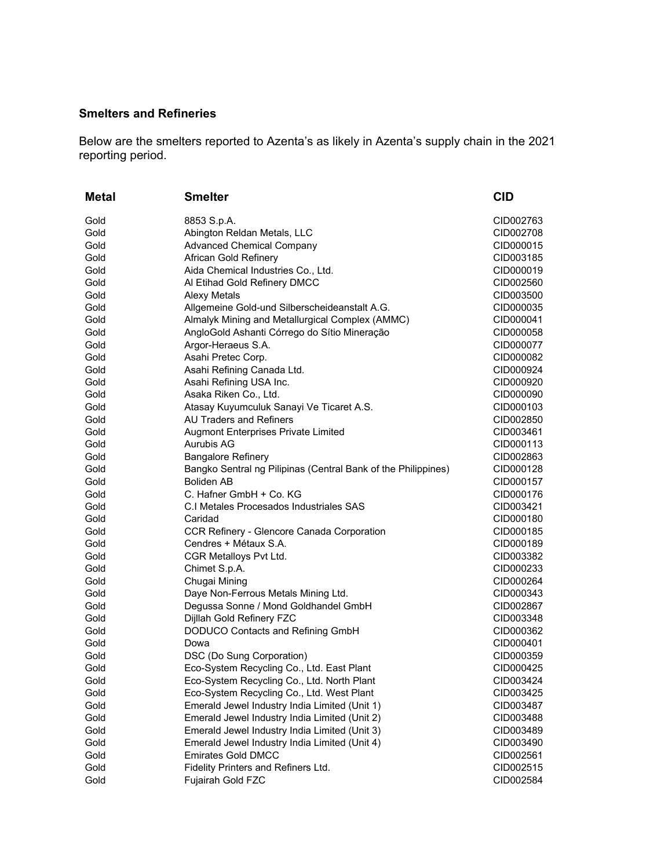# **Smelters and Refineries**

Below are the smelters reported to Azenta's as likely in Azenta's supply chain in the 2021 reporting period.

| Metal | <b>Smelter</b>                                                | <b>CID</b> |
|-------|---------------------------------------------------------------|------------|
| Gold  | 8853 S.p.A.                                                   | CID002763  |
| Gold  | Abington Reldan Metals, LLC                                   | CID002708  |
| Gold  | <b>Advanced Chemical Company</b>                              | CID000015  |
| Gold  | African Gold Refinery                                         | CID003185  |
| Gold  | Aida Chemical Industries Co., Ltd.                            | CID000019  |
| Gold  | Al Etihad Gold Refinery DMCC                                  | CID002560  |
| Gold  | <b>Alexy Metals</b>                                           | CID003500  |
| Gold  | Allgemeine Gold-und Silberscheideanstalt A.G.                 | CID000035  |
| Gold  | Almalyk Mining and Metallurgical Complex (AMMC)               | CID000041  |
| Gold  | AngloGold Ashanti Córrego do Sítio Mineração                  | CID000058  |
| Gold  | Argor-Heraeus S.A.                                            | CID000077  |
| Gold  | Asahi Pretec Corp.                                            | CID000082  |
| Gold  | Asahi Refining Canada Ltd.                                    | CID000924  |
| Gold  | Asahi Refining USA Inc.                                       | CID000920  |
| Gold  | Asaka Riken Co., Ltd.                                         | CID000090  |
| Gold  | Atasay Kuyumculuk Sanayi Ve Ticaret A.S.                      | CID000103  |
| Gold  | <b>AU Traders and Refiners</b>                                | CID002850  |
| Gold  | <b>Augmont Enterprises Private Limited</b>                    | CID003461  |
| Gold  | <b>Aurubis AG</b>                                             | CID000113  |
| Gold  | <b>Bangalore Refinery</b>                                     | CID002863  |
| Gold  | Bangko Sentral ng Pilipinas (Central Bank of the Philippines) | CID000128  |
| Gold  | <b>Boliden AB</b>                                             | CID000157  |
| Gold  | C. Hafner GmbH + Co. KG                                       | CID000176  |
| Gold  | C.I Metales Procesados Industriales SAS                       | CID003421  |
| Gold  | Caridad                                                       | CID000180  |
| Gold  | CCR Refinery - Glencore Canada Corporation                    | CID000185  |
| Gold  | Cendres + Métaux S.A.                                         | CID000189  |
| Gold  | CGR Metalloys Pvt Ltd.                                        | CID003382  |
| Gold  | Chimet S.p.A.                                                 | CID000233  |
| Gold  | Chugai Mining                                                 | CID000264  |
| Gold  | Daye Non-Ferrous Metals Mining Ltd.                           | CID000343  |
| Gold  | Degussa Sonne / Mond Goldhandel GmbH                          | CID002867  |
| Gold  | Dijllah Gold Refinery FZC                                     | CID003348  |
| Gold  | DODUCO Contacts and Refining GmbH                             | CID000362  |
| Gold  | Dowa                                                          | CID000401  |
| Gold  | DSC (Do Sung Corporation)                                     | CID000359  |
| Gold  | Eco-System Recycling Co., Ltd. East Plant                     | CID000425  |
| Gold  | Eco-System Recycling Co., Ltd. North Plant                    | CID003424  |
| Gold  | Eco-System Recycling Co., Ltd. West Plant                     | CID003425  |
| Gold  | Emerald Jewel Industry India Limited (Unit 1)                 | CID003487  |
| Gold  | Emerald Jewel Industry India Limited (Unit 2)                 | CID003488  |
| Gold  | Emerald Jewel Industry India Limited (Unit 3)                 | CID003489  |
| Gold  | Emerald Jewel Industry India Limited (Unit 4)                 | CID003490  |
| Gold  | <b>Emirates Gold DMCC</b>                                     | CID002561  |
| Gold  | Fidelity Printers and Refiners Ltd.                           | CID002515  |
| Gold  | Fujairah Gold FZC                                             | CID002584  |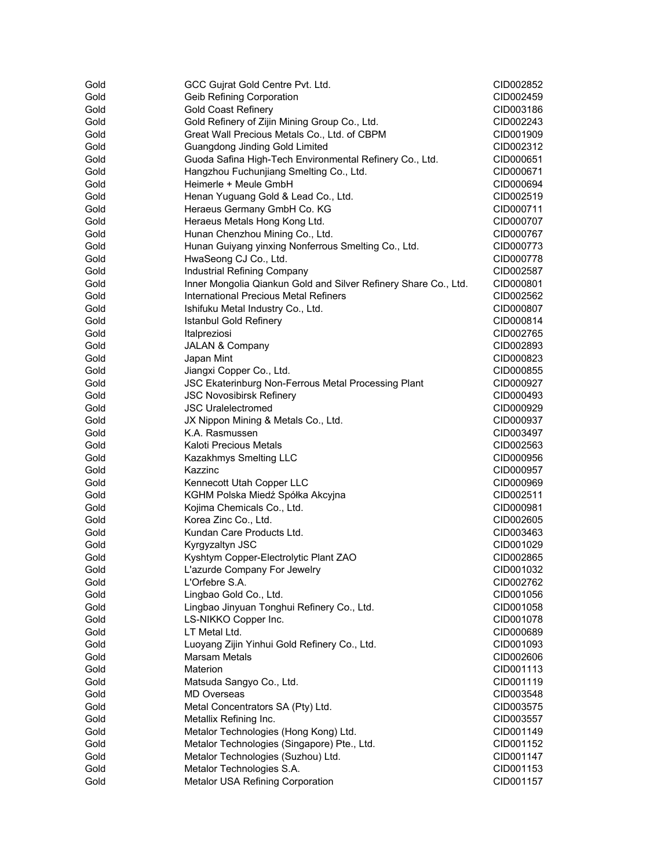| Gold | GCC Gujrat Gold Centre Pvt. Ltd.                                | CID002852 |
|------|-----------------------------------------------------------------|-----------|
| Gold | <b>Geib Refining Corporation</b>                                | CID002459 |
| Gold | <b>Gold Coast Refinery</b>                                      | CID003186 |
| Gold | Gold Refinery of Zijin Mining Group Co., Ltd.                   | CID002243 |
| Gold | Great Wall Precious Metals Co., Ltd. of CBPM                    | CID001909 |
| Gold | <b>Guangdong Jinding Gold Limited</b>                           | CID002312 |
| Gold | Guoda Safina High-Tech Environmental Refinery Co., Ltd.         | CID000651 |
| Gold | Hangzhou Fuchunjiang Smelting Co., Ltd.                         | CID000671 |
| Gold | Heimerle + Meule GmbH                                           | CID000694 |
| Gold | Henan Yuguang Gold & Lead Co., Ltd.                             | CID002519 |
| Gold | Heraeus Germany GmbH Co. KG                                     | CID000711 |
| Gold | Heraeus Metals Hong Kong Ltd.                                   | CID000707 |
| Gold | Hunan Chenzhou Mining Co., Ltd.                                 | CID000767 |
| Gold | Hunan Guiyang yinxing Nonferrous Smelting Co., Ltd.             | CID000773 |
| Gold | HwaSeong CJ Co., Ltd.                                           | CID000778 |
| Gold | Industrial Refining Company                                     | CID002587 |
| Gold | Inner Mongolia Qiankun Gold and Silver Refinery Share Co., Ltd. | CID000801 |
| Gold | International Precious Metal Refiners                           | CID002562 |
| Gold | Ishifuku Metal Industry Co., Ltd.                               | CID000807 |
| Gold | <b>Istanbul Gold Refinery</b>                                   | CID000814 |
| Gold | Italpreziosi                                                    | CID002765 |
| Gold | JALAN & Company                                                 | CID002893 |
| Gold | Japan Mint                                                      | CID000823 |
| Gold | Jiangxi Copper Co., Ltd.                                        | CID000855 |
| Gold | JSC Ekaterinburg Non-Ferrous Metal Processing Plant             | CID000927 |
| Gold | <b>JSC Novosibirsk Refinery</b>                                 | CID000493 |
| Gold | <b>JSC Uralelectromed</b>                                       | CID000929 |
| Gold | JX Nippon Mining & Metals Co., Ltd.                             | CID000937 |
| Gold | K.A. Rasmussen                                                  | CID003497 |
| Gold | <b>Kaloti Precious Metals</b>                                   | CID002563 |
| Gold | Kazakhmys Smelting LLC                                          | CID000956 |
| Gold | Kazzinc                                                         | CID000957 |
| Gold | Kennecott Utah Copper LLC                                       | CID000969 |
| Gold | KGHM Polska Miedź Spółka Akcyjna                                | CID002511 |
| Gold | Kojima Chemicals Co., Ltd.                                      | CID000981 |
| Gold | Korea Zinc Co., Ltd.                                            | CID002605 |
| Gold | Kundan Care Products Ltd.                                       | CID003463 |
| Gold | Kyrgyzaltyn JSC                                                 | CID001029 |
| Gold | Kyshtym Copper-Electrolytic Plant ZAO                           | CID002865 |
| Gold | L'azurde Company For Jewelry                                    | CID001032 |
| Gold | L'Orfebre S.A.                                                  | CID002762 |
| Gold | Lingbao Gold Co., Ltd.                                          | CID001056 |
| Gold | Lingbao Jinyuan Tonghui Refinery Co., Ltd.                      | CID001058 |
| Gold | LS-NIKKO Copper Inc.                                            | CID001078 |
| Gold | LT Metal Ltd.                                                   | CID000689 |
| Gold | Luoyang Zijin Yinhui Gold Refinery Co., Ltd.                    | CID001093 |
| Gold | Marsam Metals                                                   | CID002606 |
| Gold | Materion                                                        | CID001113 |
| Gold | Matsuda Sangyo Co., Ltd.                                        | CID001119 |
| Gold | <b>MD Overseas</b>                                              | CID003548 |
| Gold | Metal Concentrators SA (Pty) Ltd.                               | CID003575 |
| Gold | Metallix Refining Inc.                                          | CID003557 |
| Gold | Metalor Technologies (Hong Kong) Ltd.                           | CID001149 |
| Gold | Metalor Technologies (Singapore) Pte., Ltd.                     | CID001152 |
| Gold | Metalor Technologies (Suzhou) Ltd.                              | CID001147 |
| Gold | Metalor Technologies S.A.                                       | CID001153 |
| Gold | Metalor USA Refining Corporation                                | CID001157 |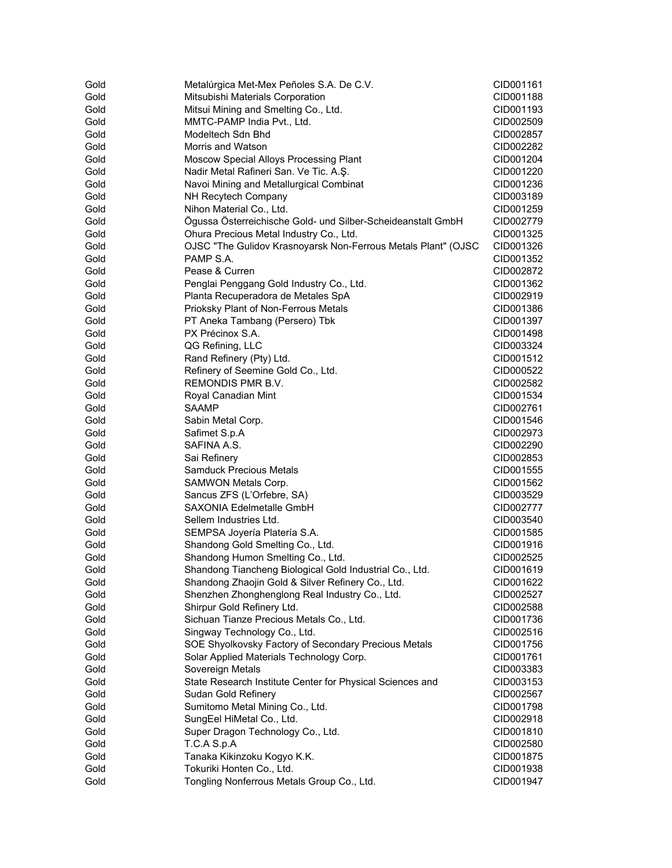| Gold | Metalúrgica Met-Mex Peñoles S.A. De C.V.                      | CID001161              |
|------|---------------------------------------------------------------|------------------------|
| Gold | Mitsubishi Materials Corporation                              | CID001188              |
| Gold | Mitsui Mining and Smelting Co., Ltd.                          | CID001193              |
| Gold | MMTC-PAMP India Pvt., Ltd.                                    | CID002509              |
| Gold | Modeltech Sdn Bhd                                             | CID002857              |
| Gold | Morris and Watson                                             |                        |
| Gold |                                                               | CID002282<br>CID001204 |
|      | Moscow Special Alloys Processing Plant                        |                        |
| Gold | Nadir Metal Rafineri San. Ve Tic. A.Ş.                        | CID001220              |
| Gold | Navoi Mining and Metallurgical Combinat                       | CID001236              |
| Gold | NH Recytech Company                                           | CID003189              |
| Gold | Nihon Material Co., Ltd.                                      | CID001259              |
| Gold | Ögussa Österreichische Gold- und Silber-Scheideanstalt GmbH   | CID002779              |
| Gold | Ohura Precious Metal Industry Co., Ltd.                       | CID001325              |
| Gold | OJSC "The Gulidov Krasnoyarsk Non-Ferrous Metals Plant" (OJSC | CID001326              |
| Gold | PAMP S.A.                                                     | CID001352              |
| Gold | Pease & Curren                                                | CID002872              |
| Gold | Penglai Penggang Gold Industry Co., Ltd.                      | CID001362              |
| Gold | Planta Recuperadora de Metales SpA                            | CID002919              |
| Gold | Prioksky Plant of Non-Ferrous Metals                          | CID001386              |
| Gold | PT Aneka Tambang (Persero) Tbk                                | CID001397              |
| Gold | PX Précinox S.A.                                              | CID001498              |
| Gold | QG Refining, LLC                                              | CID003324              |
| Gold | Rand Refinery (Pty) Ltd.                                      | CID001512              |
| Gold | Refinery of Seemine Gold Co., Ltd.                            | CID000522              |
| Gold | REMONDIS PMR B.V.                                             | CID002582              |
| Gold | Royal Canadian Mint                                           | CID001534              |
| Gold | SAAMP                                                         | CID002761              |
| Gold | Sabin Metal Corp.                                             | CID001546              |
| Gold | Safimet S.p.A                                                 | CID002973              |
| Gold | SAFINA A.S.                                                   | CID002290              |
| Gold | Sai Refinery                                                  | CID002853              |
| Gold | Samduck Precious Metals                                       | CID001555              |
| Gold | SAMWON Metals Corp.                                           | CID001562              |
| Gold | Sancus ZFS (L'Orfebre, SA)                                    | CID003529              |
| Gold | SAXONIA Edelmetalle GmbH                                      | CID002777              |
| Gold | Sellem Industries Ltd.                                        | CID003540              |
| Gold | SEMPSA Joyería Platería S.A.                                  | CID001585              |
| Gold | Shandong Gold Smelting Co., Ltd.                              | CID001916              |
| Gold | Shandong Humon Smelting Co., Ltd.                             | CID002525              |
| Gold | Shandong Tiancheng Biological Gold Industrial Co., Ltd.       | CID001619              |
| Gold | Shandong Zhaojin Gold & Silver Refinery Co., Ltd.             | CID001622              |
| Gold |                                                               |                        |
|      | Shenzhen Zhonghenglong Real Industry Co., Ltd.                | CID002527              |
| Gold | Shirpur Gold Refinery Ltd.                                    | CID002588              |
| Gold | Sichuan Tianze Precious Metals Co., Ltd.                      | CID001736              |
| Gold | Singway Technology Co., Ltd.                                  | CID002516              |
| Gold | SOE Shyolkovsky Factory of Secondary Precious Metals          | CID001756              |
| Gold | Solar Applied Materials Technology Corp.                      | CID001761              |
| Gold | Sovereign Metals                                              | CID003383              |
| Gold | State Research Institute Center for Physical Sciences and     | CID003153              |
| Gold | Sudan Gold Refinery                                           | CID002567              |
| Gold | Sumitomo Metal Mining Co., Ltd.                               | CID001798              |
| Gold | SungEel HiMetal Co., Ltd.                                     | CID002918              |
| Gold | Super Dragon Technology Co., Ltd.                             | CID001810              |
| Gold | T.C.A S.p.A                                                   | CID002580              |
| Gold | Tanaka Kikinzoku Kogyo K.K.                                   | CID001875              |
| Gold | Tokuriki Honten Co., Ltd.                                     | CID001938              |
| Gold | Tongling Nonferrous Metals Group Co., Ltd.                    | CID001947              |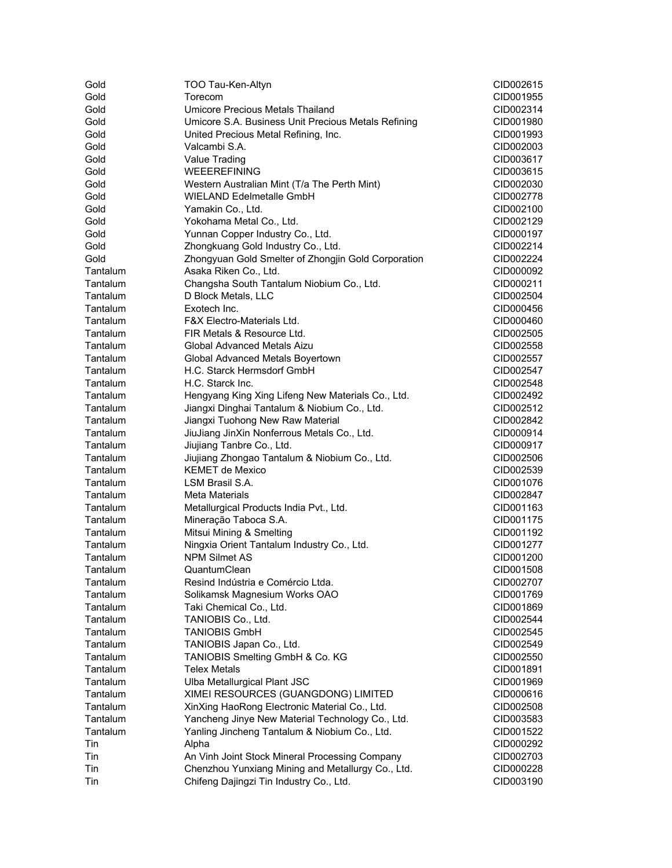| Gold     | TOO Tau-Ken-Altyn                                   | CID002615 |
|----------|-----------------------------------------------------|-----------|
| Gold     | Torecom                                             | CID001955 |
| Gold     | Umicore Precious Metals Thailand                    | CID002314 |
| Gold     | Umicore S.A. Business Unit Precious Metals Refining | CID001980 |
| Gold     | United Precious Metal Refining, Inc.                | CID001993 |
| Gold     | Valcambi S.A.                                       | CID002003 |
| Gold     | Value Trading                                       | CID003617 |
| Gold     | <b>WEEEREFINING</b>                                 | CID003615 |
| Gold     | Western Australian Mint (T/a The Perth Mint)        | CID002030 |
| Gold     | <b>WIELAND Edelmetalle GmbH</b>                     | CID002778 |
| Gold     | Yamakin Co., Ltd.                                   | CID002100 |
| Gold     | Yokohama Metal Co., Ltd.                            | CID002129 |
| Gold     | Yunnan Copper Industry Co., Ltd.                    | CID000197 |
| Gold     | Zhongkuang Gold Industry Co., Ltd.                  | CID002214 |
| Gold     | Zhongyuan Gold Smelter of Zhongjin Gold Corporation |           |
|          | Asaka Riken Co., Ltd.                               | CID002224 |
| Tantalum |                                                     | CID000092 |
| Tantalum | Changsha South Tantalum Niobium Co., Ltd.           | CID000211 |
| Tantalum | D Block Metals, LLC                                 | CID002504 |
| Tantalum | Exotech Inc.                                        | CID000456 |
| Tantalum | F&X Electro-Materials Ltd.                          | CID000460 |
| Tantalum | FIR Metals & Resource Ltd.                          | CID002505 |
| Tantalum | Global Advanced Metals Aizu                         | CID002558 |
| Tantalum | Global Advanced Metals Boyertown                    | CID002557 |
| Tantalum | H.C. Starck Hermsdorf GmbH                          | CID002547 |
| Tantalum | H.C. Starck Inc.                                    | CID002548 |
| Tantalum | Hengyang King Xing Lifeng New Materials Co., Ltd.   | CID002492 |
| Tantalum | Jiangxi Dinghai Tantalum & Niobium Co., Ltd.        | CID002512 |
| Tantalum | Jiangxi Tuohong New Raw Material                    | CID002842 |
| Tantalum | JiuJiang JinXin Nonferrous Metals Co., Ltd.         | CID000914 |
| Tantalum | Jiujiang Tanbre Co., Ltd.                           | CID000917 |
| Tantalum | Jiujiang Zhongao Tantalum & Niobium Co., Ltd.       | CID002506 |
| Tantalum | <b>KEMET de Mexico</b>                              | CID002539 |
| Tantalum | LSM Brasil S.A.                                     | CID001076 |
| Tantalum | Meta Materials                                      | CID002847 |
| Tantalum | Metallurgical Products India Pvt., Ltd.             | CID001163 |
| Tantalum | Mineração Taboca S.A.                               | CID001175 |
| Tantalum | Mitsui Mining & Smelting                            | CID001192 |
| Tantalum | Ningxia Orient Tantalum Industry Co., Ltd.          | CID001277 |
| Tantalum | <b>NPM Silmet AS</b>                                | CID001200 |
| Tantalum | QuantumClean                                        | CID001508 |
| Tantalum | Resind Indústria e Comércio Ltda.                   | CID002707 |
| Tantalum | Solikamsk Magnesium Works OAO                       | CID001769 |
| Tantalum | Taki Chemical Co., Ltd.                             | CID001869 |
| Tantalum | TANIOBIS Co., Ltd.                                  | CID002544 |
| Tantalum | <b>TANIOBIS GmbH</b>                                | CID002545 |
| Tantalum | TANIOBIS Japan Co., Ltd.                            | CID002549 |
| Tantalum | TANIOBIS Smelting GmbH & Co. KG                     | CID002550 |
| Tantalum | <b>Telex Metals</b>                                 | CID001891 |
| Tantalum | Ulba Metallurgical Plant JSC                        | CID001969 |
| Tantalum | XIMEI RESOURCES (GUANGDONG) LIMITED                 | CID000616 |
| Tantalum | XinXing HaoRong Electronic Material Co., Ltd.       | CID002508 |
| Tantalum | Yancheng Jinye New Material Technology Co., Ltd.    | CID003583 |
| Tantalum | Yanling Jincheng Tantalum & Niobium Co., Ltd.       | CID001522 |
| Tin      | Alpha                                               | CID000292 |
| Tin      | An Vinh Joint Stock Mineral Processing Company      | CID002703 |
| Tin      | Chenzhou Yunxiang Mining and Metallurgy Co., Ltd.   | CID000228 |
| Tin      | Chifeng Dajingzi Tin Industry Co., Ltd.             |           |
|          |                                                     | CID003190 |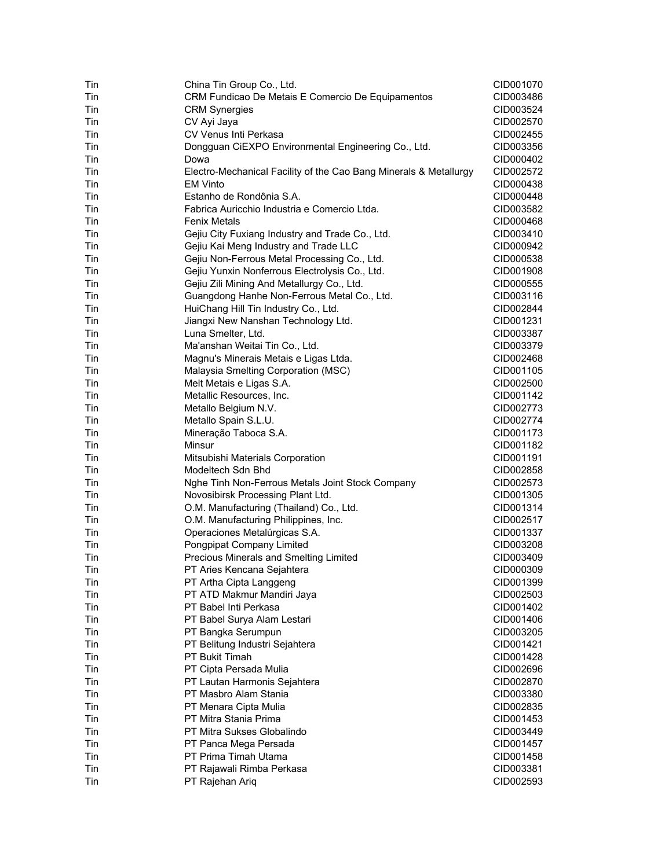| Tin<br>CRM Fundicao De Metais E Comercio De Equipamentos<br>Tin<br><b>CRM Synergies</b><br>CV Ayi Jaya<br>Tin<br>CV Venus Inti Perkasa<br>Tin<br>Dongguan CiEXPO Environmental Engineering Co., Ltd.<br>Tin<br>Tin<br>Dowa<br>Tin<br>Electro-Mechanical Facility of the Cao Bang Minerals & Metallurgy<br>Tin<br><b>EM Vinto</b><br>Tin<br>Estanho de Rondônia S.A.<br>CID000448<br>Tin<br>Fabrica Auricchio Industria e Comercio Ltda.<br>Tin<br>Fenix Metals<br>Tin<br>Gejiu City Fuxiang Industry and Trade Co., Ltd.<br>Gejiu Kai Meng Industry and Trade LLC<br>Tin<br>Tin<br>Gejiu Non-Ferrous Metal Processing Co., Ltd.<br>Gejiu Yunxin Nonferrous Electrolysis Co., Ltd.<br>Tin<br>CID001908<br>Gejiu Zili Mining And Metallurgy Co., Ltd.<br>Tin<br>CID000555<br>Tin<br>Guangdong Hanhe Non-Ferrous Metal Co., Ltd.<br>CID003116<br>Tin<br>HuiChang Hill Tin Industry Co., Ltd.<br>CID002844<br>Jiangxi New Nanshan Technology Ltd.<br>Tin<br>CID001231<br>Luna Smelter, Ltd.<br>Tin<br>CID003387<br>Ma'anshan Weitai Tin Co., Ltd.<br>Tin<br>CID003379<br>Magnu's Minerais Metais e Ligas Ltda.<br>Tin<br>CID002468<br>Malaysia Smelting Corporation (MSC)<br>Tin<br>CID001105<br>Tin<br>Melt Metais e Ligas S.A.<br>CID002500<br>Tin<br>Metallic Resources, Inc.<br>CID001142<br>Tin<br>Metallo Belgium N.V.<br>CID002773<br>Tin<br>Metallo Spain S.L.U.<br>CID002774<br>Tin<br>Mineração Taboca S.A.<br>CID001173<br>Tin<br>Minsur<br>CID001182<br>Tin<br>Mitsubishi Materials Corporation<br>CID001191<br>Tin<br>Modeltech Sdn Bhd<br>CID002858<br>Tin<br>Nghe Tinh Non-Ferrous Metals Joint Stock Company<br>CID002573<br>Tin<br>Novosibirsk Processing Plant Ltd.<br>CID001305<br>Tin<br>O.M. Manufacturing (Thailand) Co., Ltd.<br>CID001314<br>O.M. Manufacturing Philippines, Inc.<br>Tin<br>CID002517<br>Tin<br>Operaciones Metalúrgicas S.A.<br>CID001337<br>Tin<br>Pongpipat Company Limited<br>CID003208<br>Precious Minerals and Smelting Limited<br>Tin<br>PT Aries Kencana Sejahtera<br>Tin<br>CID000309<br>CID001399<br>Tin<br>PT Artha Cipta Langgeng<br>Tin<br>PT ATD Makmur Mandiri Jaya<br>CID002503<br>PT Babel Inti Perkasa<br>Tin<br>CID001402<br>Tin<br>PT Babel Surya Alam Lestari<br>CID001406<br>Tin<br>PT Bangka Serumpun<br>CID003205<br>Tin<br>PT Belitung Industri Sejahtera<br>CID001421<br>Tin<br>PT Bukit Timah<br>CID001428<br>Tin<br>PT Cipta Persada Mulia<br>CID002696<br>Tin<br>PT Lautan Harmonis Sejahtera<br>CID002870<br>PT Masbro Alam Stania<br>Tin<br>CID003380<br>Tin<br>PT Menara Cipta Mulia<br>PT Mitra Stania Prima<br>Tin<br>PT Mitra Sukses Globalindo<br>Tin<br>CID003449<br>PT Panca Mega Persada<br>Tin<br>CID001457<br>Tin<br>PT Prima Timah Utama<br>CID001458<br>PT Rajawali Rimba Perkasa<br>Tin<br>CID003381<br>PT Rajehan Ariq<br>Tin | Tin | China Tin Group Co., Ltd. | CID001070 |
|----------------------------------------------------------------------------------------------------------------------------------------------------------------------------------------------------------------------------------------------------------------------------------------------------------------------------------------------------------------------------------------------------------------------------------------------------------------------------------------------------------------------------------------------------------------------------------------------------------------------------------------------------------------------------------------------------------------------------------------------------------------------------------------------------------------------------------------------------------------------------------------------------------------------------------------------------------------------------------------------------------------------------------------------------------------------------------------------------------------------------------------------------------------------------------------------------------------------------------------------------------------------------------------------------------------------------------------------------------------------------------------------------------------------------------------------------------------------------------------------------------------------------------------------------------------------------------------------------------------------------------------------------------------------------------------------------------------------------------------------------------------------------------------------------------------------------------------------------------------------------------------------------------------------------------------------------------------------------------------------------------------------------------------------------------------------------------------------------------------------------------------------------------------------------------------------------------------------------------------------------------------------------------------------------------------------------------------------------------------------------------------------------------------------------------------------------------------------------------------------------------------------------------------------------------------------------------------------------------------------------------------------------------------------------------------------------------------------------------------------------------------------------------------------------------------|-----|---------------------------|-----------|
|                                                                                                                                                                                                                                                                                                                                                                                                                                                                                                                                                                                                                                                                                                                                                                                                                                                                                                                                                                                                                                                                                                                                                                                                                                                                                                                                                                                                                                                                                                                                                                                                                                                                                                                                                                                                                                                                                                                                                                                                                                                                                                                                                                                                                                                                                                                                                                                                                                                                                                                                                                                                                                                                                                                                                                                                                |     |                           | CID003486 |
|                                                                                                                                                                                                                                                                                                                                                                                                                                                                                                                                                                                                                                                                                                                                                                                                                                                                                                                                                                                                                                                                                                                                                                                                                                                                                                                                                                                                                                                                                                                                                                                                                                                                                                                                                                                                                                                                                                                                                                                                                                                                                                                                                                                                                                                                                                                                                                                                                                                                                                                                                                                                                                                                                                                                                                                                                |     |                           | CID003524 |
|                                                                                                                                                                                                                                                                                                                                                                                                                                                                                                                                                                                                                                                                                                                                                                                                                                                                                                                                                                                                                                                                                                                                                                                                                                                                                                                                                                                                                                                                                                                                                                                                                                                                                                                                                                                                                                                                                                                                                                                                                                                                                                                                                                                                                                                                                                                                                                                                                                                                                                                                                                                                                                                                                                                                                                                                                |     |                           | CID002570 |
|                                                                                                                                                                                                                                                                                                                                                                                                                                                                                                                                                                                                                                                                                                                                                                                                                                                                                                                                                                                                                                                                                                                                                                                                                                                                                                                                                                                                                                                                                                                                                                                                                                                                                                                                                                                                                                                                                                                                                                                                                                                                                                                                                                                                                                                                                                                                                                                                                                                                                                                                                                                                                                                                                                                                                                                                                |     |                           | CID002455 |
|                                                                                                                                                                                                                                                                                                                                                                                                                                                                                                                                                                                                                                                                                                                                                                                                                                                                                                                                                                                                                                                                                                                                                                                                                                                                                                                                                                                                                                                                                                                                                                                                                                                                                                                                                                                                                                                                                                                                                                                                                                                                                                                                                                                                                                                                                                                                                                                                                                                                                                                                                                                                                                                                                                                                                                                                                |     |                           | CID003356 |
|                                                                                                                                                                                                                                                                                                                                                                                                                                                                                                                                                                                                                                                                                                                                                                                                                                                                                                                                                                                                                                                                                                                                                                                                                                                                                                                                                                                                                                                                                                                                                                                                                                                                                                                                                                                                                                                                                                                                                                                                                                                                                                                                                                                                                                                                                                                                                                                                                                                                                                                                                                                                                                                                                                                                                                                                                |     |                           | CID000402 |
|                                                                                                                                                                                                                                                                                                                                                                                                                                                                                                                                                                                                                                                                                                                                                                                                                                                                                                                                                                                                                                                                                                                                                                                                                                                                                                                                                                                                                                                                                                                                                                                                                                                                                                                                                                                                                                                                                                                                                                                                                                                                                                                                                                                                                                                                                                                                                                                                                                                                                                                                                                                                                                                                                                                                                                                                                |     |                           | CID002572 |
|                                                                                                                                                                                                                                                                                                                                                                                                                                                                                                                                                                                                                                                                                                                                                                                                                                                                                                                                                                                                                                                                                                                                                                                                                                                                                                                                                                                                                                                                                                                                                                                                                                                                                                                                                                                                                                                                                                                                                                                                                                                                                                                                                                                                                                                                                                                                                                                                                                                                                                                                                                                                                                                                                                                                                                                                                |     |                           | CID000438 |
|                                                                                                                                                                                                                                                                                                                                                                                                                                                                                                                                                                                                                                                                                                                                                                                                                                                                                                                                                                                                                                                                                                                                                                                                                                                                                                                                                                                                                                                                                                                                                                                                                                                                                                                                                                                                                                                                                                                                                                                                                                                                                                                                                                                                                                                                                                                                                                                                                                                                                                                                                                                                                                                                                                                                                                                                                |     |                           |           |
|                                                                                                                                                                                                                                                                                                                                                                                                                                                                                                                                                                                                                                                                                                                                                                                                                                                                                                                                                                                                                                                                                                                                                                                                                                                                                                                                                                                                                                                                                                                                                                                                                                                                                                                                                                                                                                                                                                                                                                                                                                                                                                                                                                                                                                                                                                                                                                                                                                                                                                                                                                                                                                                                                                                                                                                                                |     |                           | CID003582 |
|                                                                                                                                                                                                                                                                                                                                                                                                                                                                                                                                                                                                                                                                                                                                                                                                                                                                                                                                                                                                                                                                                                                                                                                                                                                                                                                                                                                                                                                                                                                                                                                                                                                                                                                                                                                                                                                                                                                                                                                                                                                                                                                                                                                                                                                                                                                                                                                                                                                                                                                                                                                                                                                                                                                                                                                                                |     |                           | CID000468 |
|                                                                                                                                                                                                                                                                                                                                                                                                                                                                                                                                                                                                                                                                                                                                                                                                                                                                                                                                                                                                                                                                                                                                                                                                                                                                                                                                                                                                                                                                                                                                                                                                                                                                                                                                                                                                                                                                                                                                                                                                                                                                                                                                                                                                                                                                                                                                                                                                                                                                                                                                                                                                                                                                                                                                                                                                                |     |                           | CID003410 |
|                                                                                                                                                                                                                                                                                                                                                                                                                                                                                                                                                                                                                                                                                                                                                                                                                                                                                                                                                                                                                                                                                                                                                                                                                                                                                                                                                                                                                                                                                                                                                                                                                                                                                                                                                                                                                                                                                                                                                                                                                                                                                                                                                                                                                                                                                                                                                                                                                                                                                                                                                                                                                                                                                                                                                                                                                |     |                           | CID000942 |
|                                                                                                                                                                                                                                                                                                                                                                                                                                                                                                                                                                                                                                                                                                                                                                                                                                                                                                                                                                                                                                                                                                                                                                                                                                                                                                                                                                                                                                                                                                                                                                                                                                                                                                                                                                                                                                                                                                                                                                                                                                                                                                                                                                                                                                                                                                                                                                                                                                                                                                                                                                                                                                                                                                                                                                                                                |     |                           | CID000538 |
|                                                                                                                                                                                                                                                                                                                                                                                                                                                                                                                                                                                                                                                                                                                                                                                                                                                                                                                                                                                                                                                                                                                                                                                                                                                                                                                                                                                                                                                                                                                                                                                                                                                                                                                                                                                                                                                                                                                                                                                                                                                                                                                                                                                                                                                                                                                                                                                                                                                                                                                                                                                                                                                                                                                                                                                                                |     |                           |           |
|                                                                                                                                                                                                                                                                                                                                                                                                                                                                                                                                                                                                                                                                                                                                                                                                                                                                                                                                                                                                                                                                                                                                                                                                                                                                                                                                                                                                                                                                                                                                                                                                                                                                                                                                                                                                                                                                                                                                                                                                                                                                                                                                                                                                                                                                                                                                                                                                                                                                                                                                                                                                                                                                                                                                                                                                                |     |                           |           |
|                                                                                                                                                                                                                                                                                                                                                                                                                                                                                                                                                                                                                                                                                                                                                                                                                                                                                                                                                                                                                                                                                                                                                                                                                                                                                                                                                                                                                                                                                                                                                                                                                                                                                                                                                                                                                                                                                                                                                                                                                                                                                                                                                                                                                                                                                                                                                                                                                                                                                                                                                                                                                                                                                                                                                                                                                |     |                           |           |
|                                                                                                                                                                                                                                                                                                                                                                                                                                                                                                                                                                                                                                                                                                                                                                                                                                                                                                                                                                                                                                                                                                                                                                                                                                                                                                                                                                                                                                                                                                                                                                                                                                                                                                                                                                                                                                                                                                                                                                                                                                                                                                                                                                                                                                                                                                                                                                                                                                                                                                                                                                                                                                                                                                                                                                                                                |     |                           |           |
|                                                                                                                                                                                                                                                                                                                                                                                                                                                                                                                                                                                                                                                                                                                                                                                                                                                                                                                                                                                                                                                                                                                                                                                                                                                                                                                                                                                                                                                                                                                                                                                                                                                                                                                                                                                                                                                                                                                                                                                                                                                                                                                                                                                                                                                                                                                                                                                                                                                                                                                                                                                                                                                                                                                                                                                                                |     |                           |           |
|                                                                                                                                                                                                                                                                                                                                                                                                                                                                                                                                                                                                                                                                                                                                                                                                                                                                                                                                                                                                                                                                                                                                                                                                                                                                                                                                                                                                                                                                                                                                                                                                                                                                                                                                                                                                                                                                                                                                                                                                                                                                                                                                                                                                                                                                                                                                                                                                                                                                                                                                                                                                                                                                                                                                                                                                                |     |                           |           |
|                                                                                                                                                                                                                                                                                                                                                                                                                                                                                                                                                                                                                                                                                                                                                                                                                                                                                                                                                                                                                                                                                                                                                                                                                                                                                                                                                                                                                                                                                                                                                                                                                                                                                                                                                                                                                                                                                                                                                                                                                                                                                                                                                                                                                                                                                                                                                                                                                                                                                                                                                                                                                                                                                                                                                                                                                |     |                           |           |
|                                                                                                                                                                                                                                                                                                                                                                                                                                                                                                                                                                                                                                                                                                                                                                                                                                                                                                                                                                                                                                                                                                                                                                                                                                                                                                                                                                                                                                                                                                                                                                                                                                                                                                                                                                                                                                                                                                                                                                                                                                                                                                                                                                                                                                                                                                                                                                                                                                                                                                                                                                                                                                                                                                                                                                                                                |     |                           |           |
|                                                                                                                                                                                                                                                                                                                                                                                                                                                                                                                                                                                                                                                                                                                                                                                                                                                                                                                                                                                                                                                                                                                                                                                                                                                                                                                                                                                                                                                                                                                                                                                                                                                                                                                                                                                                                                                                                                                                                                                                                                                                                                                                                                                                                                                                                                                                                                                                                                                                                                                                                                                                                                                                                                                                                                                                                |     |                           |           |
|                                                                                                                                                                                                                                                                                                                                                                                                                                                                                                                                                                                                                                                                                                                                                                                                                                                                                                                                                                                                                                                                                                                                                                                                                                                                                                                                                                                                                                                                                                                                                                                                                                                                                                                                                                                                                                                                                                                                                                                                                                                                                                                                                                                                                                                                                                                                                                                                                                                                                                                                                                                                                                                                                                                                                                                                                |     |                           |           |
|                                                                                                                                                                                                                                                                                                                                                                                                                                                                                                                                                                                                                                                                                                                                                                                                                                                                                                                                                                                                                                                                                                                                                                                                                                                                                                                                                                                                                                                                                                                                                                                                                                                                                                                                                                                                                                                                                                                                                                                                                                                                                                                                                                                                                                                                                                                                                                                                                                                                                                                                                                                                                                                                                                                                                                                                                |     |                           |           |
|                                                                                                                                                                                                                                                                                                                                                                                                                                                                                                                                                                                                                                                                                                                                                                                                                                                                                                                                                                                                                                                                                                                                                                                                                                                                                                                                                                                                                                                                                                                                                                                                                                                                                                                                                                                                                                                                                                                                                                                                                                                                                                                                                                                                                                                                                                                                                                                                                                                                                                                                                                                                                                                                                                                                                                                                                |     |                           |           |
|                                                                                                                                                                                                                                                                                                                                                                                                                                                                                                                                                                                                                                                                                                                                                                                                                                                                                                                                                                                                                                                                                                                                                                                                                                                                                                                                                                                                                                                                                                                                                                                                                                                                                                                                                                                                                                                                                                                                                                                                                                                                                                                                                                                                                                                                                                                                                                                                                                                                                                                                                                                                                                                                                                                                                                                                                |     |                           |           |
|                                                                                                                                                                                                                                                                                                                                                                                                                                                                                                                                                                                                                                                                                                                                                                                                                                                                                                                                                                                                                                                                                                                                                                                                                                                                                                                                                                                                                                                                                                                                                                                                                                                                                                                                                                                                                                                                                                                                                                                                                                                                                                                                                                                                                                                                                                                                                                                                                                                                                                                                                                                                                                                                                                                                                                                                                |     |                           |           |
|                                                                                                                                                                                                                                                                                                                                                                                                                                                                                                                                                                                                                                                                                                                                                                                                                                                                                                                                                                                                                                                                                                                                                                                                                                                                                                                                                                                                                                                                                                                                                                                                                                                                                                                                                                                                                                                                                                                                                                                                                                                                                                                                                                                                                                                                                                                                                                                                                                                                                                                                                                                                                                                                                                                                                                                                                |     |                           |           |
|                                                                                                                                                                                                                                                                                                                                                                                                                                                                                                                                                                                                                                                                                                                                                                                                                                                                                                                                                                                                                                                                                                                                                                                                                                                                                                                                                                                                                                                                                                                                                                                                                                                                                                                                                                                                                                                                                                                                                                                                                                                                                                                                                                                                                                                                                                                                                                                                                                                                                                                                                                                                                                                                                                                                                                                                                |     |                           |           |
|                                                                                                                                                                                                                                                                                                                                                                                                                                                                                                                                                                                                                                                                                                                                                                                                                                                                                                                                                                                                                                                                                                                                                                                                                                                                                                                                                                                                                                                                                                                                                                                                                                                                                                                                                                                                                                                                                                                                                                                                                                                                                                                                                                                                                                                                                                                                                                                                                                                                                                                                                                                                                                                                                                                                                                                                                |     |                           |           |
|                                                                                                                                                                                                                                                                                                                                                                                                                                                                                                                                                                                                                                                                                                                                                                                                                                                                                                                                                                                                                                                                                                                                                                                                                                                                                                                                                                                                                                                                                                                                                                                                                                                                                                                                                                                                                                                                                                                                                                                                                                                                                                                                                                                                                                                                                                                                                                                                                                                                                                                                                                                                                                                                                                                                                                                                                |     |                           |           |
|                                                                                                                                                                                                                                                                                                                                                                                                                                                                                                                                                                                                                                                                                                                                                                                                                                                                                                                                                                                                                                                                                                                                                                                                                                                                                                                                                                                                                                                                                                                                                                                                                                                                                                                                                                                                                                                                                                                                                                                                                                                                                                                                                                                                                                                                                                                                                                                                                                                                                                                                                                                                                                                                                                                                                                                                                |     |                           |           |
|                                                                                                                                                                                                                                                                                                                                                                                                                                                                                                                                                                                                                                                                                                                                                                                                                                                                                                                                                                                                                                                                                                                                                                                                                                                                                                                                                                                                                                                                                                                                                                                                                                                                                                                                                                                                                                                                                                                                                                                                                                                                                                                                                                                                                                                                                                                                                                                                                                                                                                                                                                                                                                                                                                                                                                                                                |     |                           |           |
|                                                                                                                                                                                                                                                                                                                                                                                                                                                                                                                                                                                                                                                                                                                                                                                                                                                                                                                                                                                                                                                                                                                                                                                                                                                                                                                                                                                                                                                                                                                                                                                                                                                                                                                                                                                                                                                                                                                                                                                                                                                                                                                                                                                                                                                                                                                                                                                                                                                                                                                                                                                                                                                                                                                                                                                                                |     |                           |           |
|                                                                                                                                                                                                                                                                                                                                                                                                                                                                                                                                                                                                                                                                                                                                                                                                                                                                                                                                                                                                                                                                                                                                                                                                                                                                                                                                                                                                                                                                                                                                                                                                                                                                                                                                                                                                                                                                                                                                                                                                                                                                                                                                                                                                                                                                                                                                                                                                                                                                                                                                                                                                                                                                                                                                                                                                                |     |                           |           |
|                                                                                                                                                                                                                                                                                                                                                                                                                                                                                                                                                                                                                                                                                                                                                                                                                                                                                                                                                                                                                                                                                                                                                                                                                                                                                                                                                                                                                                                                                                                                                                                                                                                                                                                                                                                                                                                                                                                                                                                                                                                                                                                                                                                                                                                                                                                                                                                                                                                                                                                                                                                                                                                                                                                                                                                                                |     |                           |           |
|                                                                                                                                                                                                                                                                                                                                                                                                                                                                                                                                                                                                                                                                                                                                                                                                                                                                                                                                                                                                                                                                                                                                                                                                                                                                                                                                                                                                                                                                                                                                                                                                                                                                                                                                                                                                                                                                                                                                                                                                                                                                                                                                                                                                                                                                                                                                                                                                                                                                                                                                                                                                                                                                                                                                                                                                                |     |                           | CID003409 |
|                                                                                                                                                                                                                                                                                                                                                                                                                                                                                                                                                                                                                                                                                                                                                                                                                                                                                                                                                                                                                                                                                                                                                                                                                                                                                                                                                                                                                                                                                                                                                                                                                                                                                                                                                                                                                                                                                                                                                                                                                                                                                                                                                                                                                                                                                                                                                                                                                                                                                                                                                                                                                                                                                                                                                                                                                |     |                           |           |
|                                                                                                                                                                                                                                                                                                                                                                                                                                                                                                                                                                                                                                                                                                                                                                                                                                                                                                                                                                                                                                                                                                                                                                                                                                                                                                                                                                                                                                                                                                                                                                                                                                                                                                                                                                                                                                                                                                                                                                                                                                                                                                                                                                                                                                                                                                                                                                                                                                                                                                                                                                                                                                                                                                                                                                                                                |     |                           |           |
|                                                                                                                                                                                                                                                                                                                                                                                                                                                                                                                                                                                                                                                                                                                                                                                                                                                                                                                                                                                                                                                                                                                                                                                                                                                                                                                                                                                                                                                                                                                                                                                                                                                                                                                                                                                                                                                                                                                                                                                                                                                                                                                                                                                                                                                                                                                                                                                                                                                                                                                                                                                                                                                                                                                                                                                                                |     |                           |           |
|                                                                                                                                                                                                                                                                                                                                                                                                                                                                                                                                                                                                                                                                                                                                                                                                                                                                                                                                                                                                                                                                                                                                                                                                                                                                                                                                                                                                                                                                                                                                                                                                                                                                                                                                                                                                                                                                                                                                                                                                                                                                                                                                                                                                                                                                                                                                                                                                                                                                                                                                                                                                                                                                                                                                                                                                                |     |                           |           |
|                                                                                                                                                                                                                                                                                                                                                                                                                                                                                                                                                                                                                                                                                                                                                                                                                                                                                                                                                                                                                                                                                                                                                                                                                                                                                                                                                                                                                                                                                                                                                                                                                                                                                                                                                                                                                                                                                                                                                                                                                                                                                                                                                                                                                                                                                                                                                                                                                                                                                                                                                                                                                                                                                                                                                                                                                |     |                           |           |
|                                                                                                                                                                                                                                                                                                                                                                                                                                                                                                                                                                                                                                                                                                                                                                                                                                                                                                                                                                                                                                                                                                                                                                                                                                                                                                                                                                                                                                                                                                                                                                                                                                                                                                                                                                                                                                                                                                                                                                                                                                                                                                                                                                                                                                                                                                                                                                                                                                                                                                                                                                                                                                                                                                                                                                                                                |     |                           |           |
|                                                                                                                                                                                                                                                                                                                                                                                                                                                                                                                                                                                                                                                                                                                                                                                                                                                                                                                                                                                                                                                                                                                                                                                                                                                                                                                                                                                                                                                                                                                                                                                                                                                                                                                                                                                                                                                                                                                                                                                                                                                                                                                                                                                                                                                                                                                                                                                                                                                                                                                                                                                                                                                                                                                                                                                                                |     |                           |           |
|                                                                                                                                                                                                                                                                                                                                                                                                                                                                                                                                                                                                                                                                                                                                                                                                                                                                                                                                                                                                                                                                                                                                                                                                                                                                                                                                                                                                                                                                                                                                                                                                                                                                                                                                                                                                                                                                                                                                                                                                                                                                                                                                                                                                                                                                                                                                                                                                                                                                                                                                                                                                                                                                                                                                                                                                                |     |                           |           |
|                                                                                                                                                                                                                                                                                                                                                                                                                                                                                                                                                                                                                                                                                                                                                                                                                                                                                                                                                                                                                                                                                                                                                                                                                                                                                                                                                                                                                                                                                                                                                                                                                                                                                                                                                                                                                                                                                                                                                                                                                                                                                                                                                                                                                                                                                                                                                                                                                                                                                                                                                                                                                                                                                                                                                                                                                |     |                           |           |
|                                                                                                                                                                                                                                                                                                                                                                                                                                                                                                                                                                                                                                                                                                                                                                                                                                                                                                                                                                                                                                                                                                                                                                                                                                                                                                                                                                                                                                                                                                                                                                                                                                                                                                                                                                                                                                                                                                                                                                                                                                                                                                                                                                                                                                                                                                                                                                                                                                                                                                                                                                                                                                                                                                                                                                                                                |     |                           |           |
|                                                                                                                                                                                                                                                                                                                                                                                                                                                                                                                                                                                                                                                                                                                                                                                                                                                                                                                                                                                                                                                                                                                                                                                                                                                                                                                                                                                                                                                                                                                                                                                                                                                                                                                                                                                                                                                                                                                                                                                                                                                                                                                                                                                                                                                                                                                                                                                                                                                                                                                                                                                                                                                                                                                                                                                                                |     |                           |           |
|                                                                                                                                                                                                                                                                                                                                                                                                                                                                                                                                                                                                                                                                                                                                                                                                                                                                                                                                                                                                                                                                                                                                                                                                                                                                                                                                                                                                                                                                                                                                                                                                                                                                                                                                                                                                                                                                                                                                                                                                                                                                                                                                                                                                                                                                                                                                                                                                                                                                                                                                                                                                                                                                                                                                                                                                                |     |                           | CID002835 |
|                                                                                                                                                                                                                                                                                                                                                                                                                                                                                                                                                                                                                                                                                                                                                                                                                                                                                                                                                                                                                                                                                                                                                                                                                                                                                                                                                                                                                                                                                                                                                                                                                                                                                                                                                                                                                                                                                                                                                                                                                                                                                                                                                                                                                                                                                                                                                                                                                                                                                                                                                                                                                                                                                                                                                                                                                |     |                           | CID001453 |
|                                                                                                                                                                                                                                                                                                                                                                                                                                                                                                                                                                                                                                                                                                                                                                                                                                                                                                                                                                                                                                                                                                                                                                                                                                                                                                                                                                                                                                                                                                                                                                                                                                                                                                                                                                                                                                                                                                                                                                                                                                                                                                                                                                                                                                                                                                                                                                                                                                                                                                                                                                                                                                                                                                                                                                                                                |     |                           |           |
|                                                                                                                                                                                                                                                                                                                                                                                                                                                                                                                                                                                                                                                                                                                                                                                                                                                                                                                                                                                                                                                                                                                                                                                                                                                                                                                                                                                                                                                                                                                                                                                                                                                                                                                                                                                                                                                                                                                                                                                                                                                                                                                                                                                                                                                                                                                                                                                                                                                                                                                                                                                                                                                                                                                                                                                                                |     |                           |           |
|                                                                                                                                                                                                                                                                                                                                                                                                                                                                                                                                                                                                                                                                                                                                                                                                                                                                                                                                                                                                                                                                                                                                                                                                                                                                                                                                                                                                                                                                                                                                                                                                                                                                                                                                                                                                                                                                                                                                                                                                                                                                                                                                                                                                                                                                                                                                                                                                                                                                                                                                                                                                                                                                                                                                                                                                                |     |                           |           |
|                                                                                                                                                                                                                                                                                                                                                                                                                                                                                                                                                                                                                                                                                                                                                                                                                                                                                                                                                                                                                                                                                                                                                                                                                                                                                                                                                                                                                                                                                                                                                                                                                                                                                                                                                                                                                                                                                                                                                                                                                                                                                                                                                                                                                                                                                                                                                                                                                                                                                                                                                                                                                                                                                                                                                                                                                |     |                           |           |
|                                                                                                                                                                                                                                                                                                                                                                                                                                                                                                                                                                                                                                                                                                                                                                                                                                                                                                                                                                                                                                                                                                                                                                                                                                                                                                                                                                                                                                                                                                                                                                                                                                                                                                                                                                                                                                                                                                                                                                                                                                                                                                                                                                                                                                                                                                                                                                                                                                                                                                                                                                                                                                                                                                                                                                                                                |     |                           | CID002593 |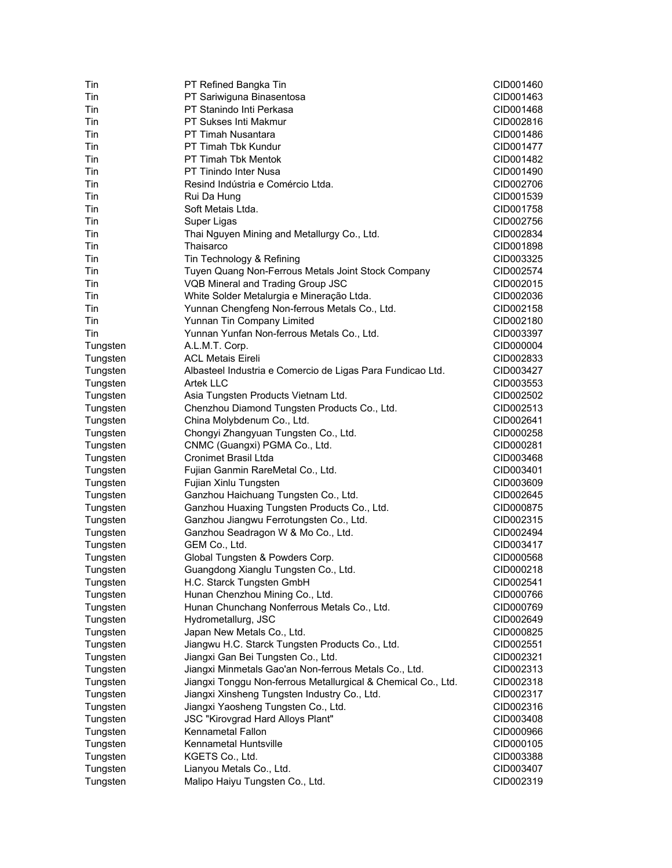| Tin      | PT Refined Bangka Tin                                         | CID001460 |
|----------|---------------------------------------------------------------|-----------|
| Tin      | PT Sariwiguna Binasentosa                                     | CID001463 |
| Tin      | PT Stanindo Inti Perkasa                                      | CID001468 |
| Tin      | <b>PT Sukses Inti Makmur</b>                                  | CID002816 |
| Tin      | PT Timah Nusantara                                            | CID001486 |
| Tin      | PT Timah Tbk Kundur                                           | CID001477 |
| Tin      | <b>PT Timah Tbk Mentok</b>                                    | CID001482 |
| Tin      | PT Tinindo Inter Nusa                                         | CID001490 |
| Tin      | Resind Indústria e Comércio Ltda.                             | CID002706 |
| Tin      | Rui Da Hung                                                   | CID001539 |
| Tin      | Soft Metais Ltda.                                             | CID001758 |
| Tin      | Super Ligas                                                   | CID002756 |
| Tin      | Thai Nguyen Mining and Metallurgy Co., Ltd.                   | CID002834 |
| Tin      | Thaisarco                                                     | CID001898 |
| Tin      | Tin Technology & Refining                                     | CID003325 |
| Tin      | Tuyen Quang Non-Ferrous Metals Joint Stock Company            | CID002574 |
| Tin      | VQB Mineral and Trading Group JSC                             | CID002015 |
| Tin      | White Solder Metalurgia e Mineração Ltda.                     | CID002036 |
| Tin      | Yunnan Chengfeng Non-ferrous Metals Co., Ltd.                 | CID002158 |
| Tin      | Yunnan Tin Company Limited                                    | CID002180 |
| Tin      | Yunnan Yunfan Non-ferrous Metals Co., Ltd.                    | CID003397 |
| Tungsten | A.L.M.T. Corp.                                                | CID000004 |
| Tungsten | <b>ACL Metais Eireli</b>                                      | CID002833 |
| Tungsten | Albasteel Industria e Comercio de Ligas Para Fundicao Ltd.    | CID003427 |
| Tungsten | <b>Artek LLC</b>                                              | CID003553 |
|          |                                                               | CID002502 |
| Tungsten | Asia Tungsten Products Vietnam Ltd.                           | CID002513 |
| Tungsten | Chenzhou Diamond Tungsten Products Co., Ltd.                  |           |
| Tungsten | China Molybdenum Co., Ltd.                                    | CID002641 |
| Tungsten | Chongyi Zhangyuan Tungsten Co., Ltd.                          | CID000258 |
| Tungsten | CNMC (Guangxi) PGMA Co., Ltd.                                 | CID000281 |
| Tungsten | <b>Cronimet Brasil Ltda</b>                                   | CID003468 |
| Tungsten | Fujian Ganmin RareMetal Co., Ltd.                             | CID003401 |
| Tungsten | Fujian Xinlu Tungsten                                         | CID003609 |
| Tungsten | Ganzhou Haichuang Tungsten Co., Ltd.                          | CID002645 |
| Tungsten | Ganzhou Huaxing Tungsten Products Co., Ltd.                   | CID000875 |
| Tungsten | Ganzhou Jiangwu Ferrotungsten Co., Ltd.                       | CID002315 |
| Tungsten | Ganzhou Seadragon W & Mo Co., Ltd.                            | CID002494 |
| Tungsten | GEM Co., Ltd.                                                 | CID003417 |
| Tungsten | Global Tungsten & Powders Corp.                               | CID000568 |
| Tungsten | Guangdong Xianglu Tungsten Co., Ltd.                          | CID000218 |
| Tungsten | H.C. Starck Tungsten GmbH                                     | CID002541 |
| Tungsten | Hunan Chenzhou Mining Co., Ltd.                               | CID000766 |
| Tungsten | Hunan Chunchang Nonferrous Metals Co., Ltd.                   | CID000769 |
| Tungsten | Hydrometallurg, JSC                                           | CID002649 |
| Tungsten | Japan New Metals Co., Ltd.                                    | CID000825 |
| Tungsten | Jiangwu H.C. Starck Tungsten Products Co., Ltd.               | CID002551 |
| Tungsten | Jiangxi Gan Bei Tungsten Co., Ltd.                            | CID002321 |
| Tungsten | Jiangxi Minmetals Gao'an Non-ferrous Metals Co., Ltd.         | CID002313 |
| Tungsten | Jiangxi Tonggu Non-ferrous Metallurgical & Chemical Co., Ltd. | CID002318 |
| Tungsten | Jiangxi Xinsheng Tungsten Industry Co., Ltd.                  | CID002317 |
| Tungsten | Jiangxi Yaosheng Tungsten Co., Ltd.                           | CID002316 |
| Tungsten | JSC "Kirovgrad Hard Alloys Plant"                             | CID003408 |
| Tungsten | Kennametal Fallon                                             | CID000966 |
| Tungsten | Kennametal Huntsville                                         | CID000105 |
| Tungsten | KGETS Co., Ltd.                                               | CID003388 |
| Tungsten | Lianyou Metals Co., Ltd.                                      | CID003407 |
| Tungsten | Malipo Haiyu Tungsten Co., Ltd.                               | CID002319 |
|          |                                                               |           |